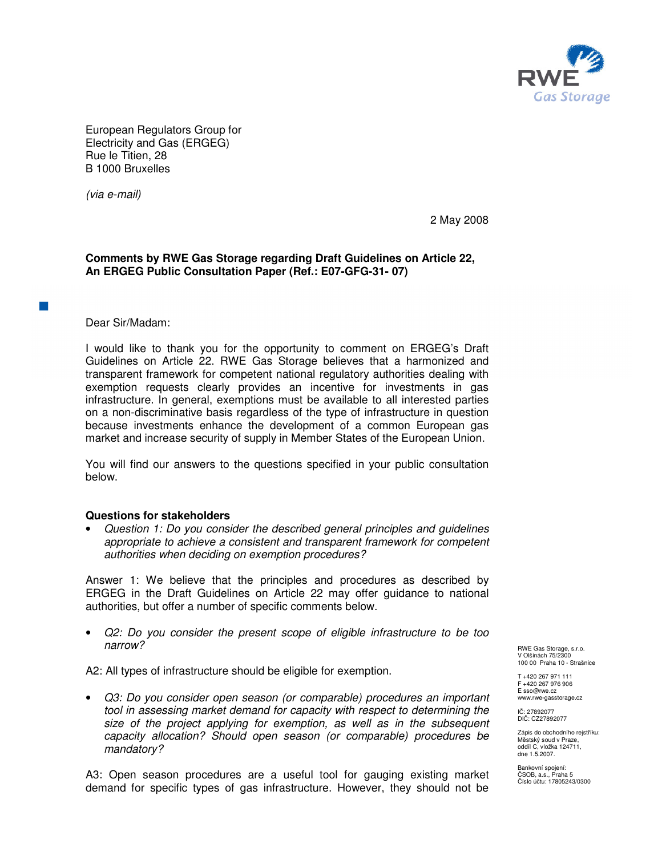

European Regulators Group for Electricity and Gas (ERGEG) Rue le Titien, 28 B 1000 Bruxelles

(via e-mail)

2 May 2008

## **Comments by RWE Gas Storage regarding Draft Guidelines on Article 22, An ERGEG Public Consultation Paper (Ref.: E07-GFG-31- 07)**

Dear Sir/Madam:

I would like to thank you for the opportunity to comment on ERGEG's Draft Guidelines on Article 22. RWE Gas Storage believes that a harmonized and transparent framework for competent national regulatory authorities dealing with exemption requests clearly provides an incentive for investments in gas infrastructure. In general, exemptions must be available to all interested parties on a non-discriminative basis regardless of the type of infrastructure in question because investments enhance the development of a common European gas market and increase security of supply in Member States of the European Union.

You will find our answers to the questions specified in your public consultation below.

## **Questions for stakeholders**

• Question 1: Do you consider the described general principles and guidelines appropriate to achieve a consistent and transparent framework for competent authorities when deciding on exemption procedures?

Answer 1: We believe that the principles and procedures as described by ERGEG in the Draft Guidelines on Article 22 may offer guidance to national authorities, but offer a number of specific comments below.

• Q2: Do you consider the present scope of eligible infrastructure to be too narrow?

A2: All types of infrastructure should be eligible for exemption.

• Q3: Do you consider open season (or comparable) procedures an important tool in assessing market demand for capacity with respect to determining the size of the project applying for exemption, as well as in the subsequent capacity allocation? Should open season (or comparable) procedures be mandatory?

A3: Open season procedures are a useful tool for gauging existing market demand for specific types of gas infrastructure. However, they should not be

RWE Gas Storage, s.r.o. V Olšinách 75/2300 100 00 Praha 10 - Strašnice

T +420 267 971 111 F +420 267 976 906 E sso@rwe.cz www.rwe-gasstorage.cz

IČ: 27892077 DIČ: CZ27892077

Zápis do obchodního rejstříku: Městský soud v Praze, oddíl C, vložka 124711, dne 1.5.2007.

Bankovní spojení: ČSOB, a.s., Praha 5 Číslo účtu: 17805243/0300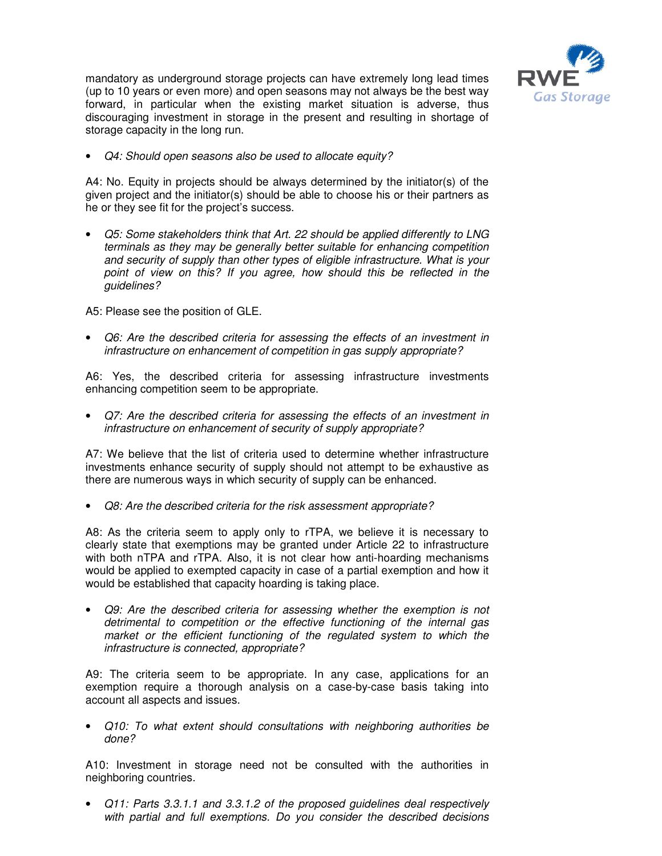

mandatory as underground storage projects can have extremely long lead times (up to 10 years or even more) and open seasons may not always be the best way forward, in particular when the existing market situation is adverse, thus discouraging investment in storage in the present and resulting in shortage of storage capacity in the long run.

• Q4: Should open seasons also be used to allocate equity?

A4: No. Equity in projects should be always determined by the initiator(s) of the given project and the initiator(s) should be able to choose his or their partners as he or they see fit for the project's success.

• Q5: Some stakeholders think that Art. 22 should be applied differently to LNG terminals as they may be generally better suitable for enhancing competition and security of supply than other types of eligible infrastructure. What is your point of view on this? If you agree, how should this be reflected in the guidelines?

A5: Please see the position of GLE.

• Q6: Are the described criteria for assessing the effects of an investment in infrastructure on enhancement of competition in gas supply appropriate?

A6: Yes, the described criteria for assessing infrastructure investments enhancing competition seem to be appropriate.

• Q7: Are the described criteria for assessing the effects of an investment in infrastructure on enhancement of security of supply appropriate?

A7: We believe that the list of criteria used to determine whether infrastructure investments enhance security of supply should not attempt to be exhaustive as there are numerous ways in which security of supply can be enhanced.

• Q8: Are the described criteria for the risk assessment appropriate?

A8: As the criteria seem to apply only to rTPA, we believe it is necessary to clearly state that exemptions may be granted under Article 22 to infrastructure with both nTPA and rTPA. Also, it is not clear how anti-hoarding mechanisms would be applied to exempted capacity in case of a partial exemption and how it would be established that capacity hoarding is taking place.

• Q9: Are the described criteria for assessing whether the exemption is not detrimental to competition or the effective functioning of the internal gas market or the efficient functioning of the regulated system to which the infrastructure is connected, appropriate?

A9: The criteria seem to be appropriate. In any case, applications for an exemption require a thorough analysis on a case-by-case basis taking into account all aspects and issues.

• Q10: To what extent should consultations with neighboring authorities be done?

A10: Investment in storage need not be consulted with the authorities in neighboring countries.

• Q11: Parts 3.3.1.1 and 3.3.1.2 of the proposed guidelines deal respectively with partial and full exemptions. Do you consider the described decisions